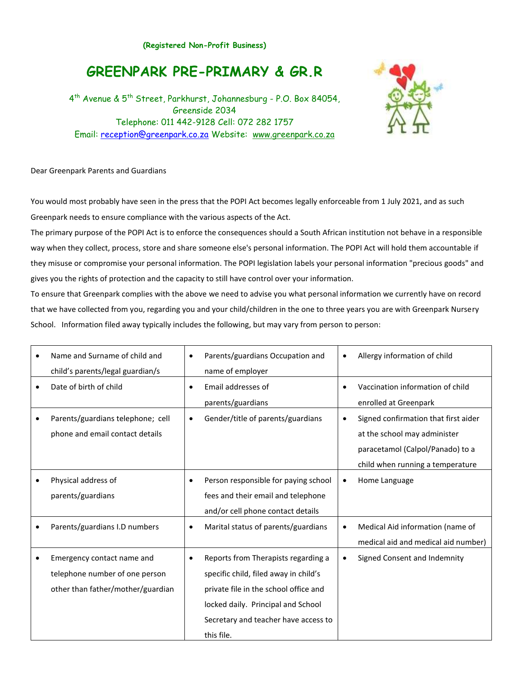## **GREENPARK PRE-PRIMARY & GR.R**

4 th Avenue & 5th Street, Parkhurst, Johannesburg - P.O. Box 84054, Greenside 2034 Telephone: 011 442-9128 Cell: 072 282 1757 Email: [reception@greenpark.co.za](mailto:reception@greenpark.co.za) Website: [www.greenpark.co.za](file:///C:/Documents%20and%20Settings/Reception/Desktop/www.greenpark.co.za)

## Dear Greenpark Parents and Guardians

You would most probably have seen in the press that the POPI Act becomes legally enforceable from 1 July 2021, and as such Greenpark needs to ensure compliance with the various aspects of the Act.

The primary purpose of the POPI Act is to enforce the consequences should a South African institution not behave in a responsible way when they collect, process, store and share someone else's personal information. The POPI Act will hold them accountable if they misuse or compromise your personal information. The POPI legislation labels your personal information "precious goods" and gives you the rights of protection and the capacity to still have control over your information.

To ensure that Greenpark complies with the above we need to advise you what personal information we currently have on record that we have collected from you, regarding you and your child/children in the one to three years you are with Greenpark Nursery School. Information filed away typically includes the following, but may vary from person to person:

|           | Name and Surname of child and     | $\bullet$ | Parents/guardians Occupation and      |           | Allergy information of child         |
|-----------|-----------------------------------|-----------|---------------------------------------|-----------|--------------------------------------|
|           | child's parents/legal guardian/s  |           | name of employer                      |           |                                      |
| $\bullet$ | Date of birth of child            | $\bullet$ | Email addresses of                    | $\bullet$ | Vaccination information of child     |
|           |                                   |           | parents/guardians                     |           | enrolled at Greenpark                |
| $\bullet$ | Parents/guardians telephone; cell | $\bullet$ | Gender/title of parents/guardians     |           | Signed confirmation that first aider |
|           | phone and email contact details   |           |                                       |           | at the school may administer         |
|           |                                   |           |                                       |           | paracetamol (Calpol/Panado) to a     |
|           |                                   |           |                                       |           | child when running a temperature     |
| ٠         | Physical address of               | ٠         | Person responsible for paying school  | $\bullet$ | Home Language                        |
|           | parents/guardians                 |           | fees and their email and telephone    |           |                                      |
|           |                                   |           | and/or cell phone contact details     |           |                                      |
| ٠         | Parents/guardians I.D numbers     | $\bullet$ | Marital status of parents/guardians   |           | Medical Aid information (name of     |
|           |                                   |           |                                       |           | medical aid and medical aid number)  |
|           | Emergency contact name and        | $\bullet$ | Reports from Therapists regarding a   |           | Signed Consent and Indemnity         |
|           | telephone number of one person    |           | specific child, filed away in child's |           |                                      |
|           | other than father/mother/guardian |           | private file in the school office and |           |                                      |
|           |                                   |           | locked daily. Principal and School    |           |                                      |
|           |                                   |           | Secretary and teacher have access to  |           |                                      |
|           |                                   |           | this file.                            |           |                                      |